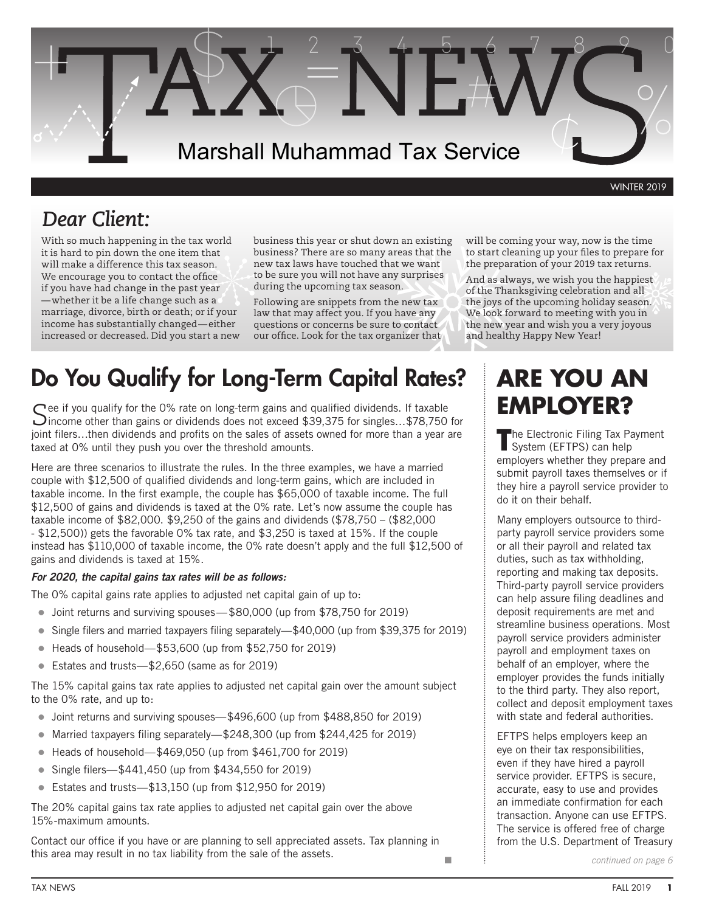

WINTER 2019

### *Dear Client:*

With so much happening in the tax world it is hard to pin down the one item that will make a difference this tax season. We encourage you to contact the office if you have had change in the past year whether it be a life change such as a marriage, divorce, birth or death; or if your income has substantially changed—either increased or decreased. Did you start a new business this year or shut down an existing business? There are so many areas that the new tax laws have touched that we want to be sure you will not have any surprises during the upcoming tax season.

Following are snippets from the new tax law that may affect you. If you have any questions or concerns be sure to contact our office. Look for the tax organizer that

### Do You Qualify for Long-Term Capital Rates? **ARE YOU AN**

Cee if you qualify for the 0% rate on long-term gains and qualified dividends. If taxable  $\sum$  income other than gains or dividends does not exceed \$39,375 for singles...\$78,750 for joint filers…then dividends and profits on the sales of assets owned for more than a year are taxed at 0% until they push you over the threshold amounts.

Here are three scenarios to illustrate the rules. In the three examples, we have a married couple with \$12,500 of qualified dividends and long-term gains, which are included in taxable income. In the first example, the couple has \$65,000 of taxable income. The full \$12,500 of gains and dividends is taxed at the 0% rate. Let's now assume the couple has taxable income of \$82,000. \$9,250 of the gains and dividends (\$78,750 – (\$82,000 - \$12,500)) gets the favorable 0% tax rate, and \$3,250 is taxed at 15%. If the couple instead has \$110,000 of taxable income, the 0% rate doesn't apply and the full \$12,500 of gains and dividends is taxed at 15%.

#### *For 2020, the capital gains tax rates will be as follows:*

The 0% capital gains rate applies to adjusted net capital gain of up to:

- Joint returns and surviving spouses—\$80,000 (up from \$78,750 for 2019)
- Single filers and married taxpayers filing separately—\$40,000 (up from \$39,375 for 2019)
- $\bullet$  Heads of household—\$53,600 (up from \$52,750 for 2019)
- l Estates and trusts—\$2,650 (same as for 2019)

The 15% capital gains tax rate applies to adjusted net capital gain over the amount subject to the 0% rate, and up to:

- l Joint returns and surviving spouses—\$496,600 (up from \$488,850 for 2019)
- Married taxpayers filing separately—\$248,300 (up from \$244,425 for 2019)
- Heads of household—\$469,050 (up from \$461,700 for 2019)
- Single filers— $$441,450$  (up from  $$434,550$  for 2019)
- Estates and trusts— $$13.150$  (up from  $$12.950$  for 2019)

The 20% capital gains tax rate applies to adjusted net capital gain over the above 15%-maximum amounts.

Contact our office if you have or are planning to sell appreciated assets. Tax planning in this area may result in no tax liability from the sale of the assets.

will be coming your way, now is the time to start cleaning up your files to prepare for the preparation of your 2019 tax returns.

And as always, we wish you the happiest of the Thanksgiving celebration and all the joys of the upcoming holiday season. We look forward to meeting with you in the new year and wish you a very joyous and healthy Happy New Year!

# **EMPLOYER?**

**T**he Electronic Filing Tax Payment System (EFTPS) can help employers whether they prepare and submit payroll taxes themselves or if they hire a payroll service provider to do it on their behalf.

Many employers outsource to thirdparty payroll service providers some or all their payroll and related tax duties, such as tax withholding, reporting and making tax deposits. Third-party payroll service providers can help assure filing deadlines and deposit requirements are met and streamline business operations. Most payroll service providers administer payroll and employment taxes on behalf of an employer, where the employer provides the funds initially to the third party. They also report, collect and deposit employment taxes with state and federal authorities.

EFTPS helps employers keep an eye on their tax responsibilities, even if they have hired a payroll service provider. EFTPS is secure, accurate, easy to use and provides an immediate confirmation for each transaction. Anyone can use EFTPS. The service is offered free of charge from the U.S. Department of Treasury

n

*continued on page 6*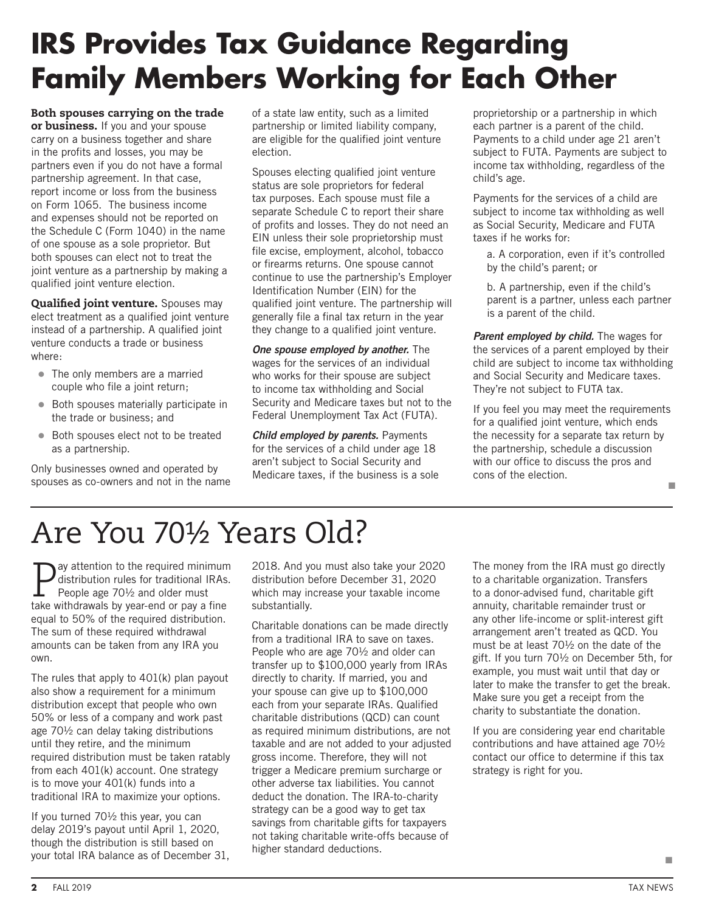## **IRS Provides Tax Guidance Regarding Family Members Working for Each Other**

Both spouses carrying on the trade or business. If you and your spouse carry on a business together and share in the profits and losses, you may be partners even if you do not have a formal partnership agreement. In that case, report income or loss from the business on Form 1065. The business income and expenses should not be reported on the Schedule C (Form 1040) in the name of one spouse as a sole proprietor. But both spouses can elect not to treat the joint venture as a partnership by making a qualified joint venture election.

Qualified joint venture. Spouses may elect treatment as a qualified joint venture instead of a partnership. A qualified joint venture conducts a trade or business where:

- The only members are a married couple who file a joint return;
- Both spouses materially participate in the trade or business; and
- Both spouses elect not to be treated as a partnership.

Only businesses owned and operated by spouses as co-owners and not in the name of a state law entity, such as a limited partnership or limited liability company, are eligible for the qualified joint venture election.

Spouses electing qualified joint venture status are sole proprietors for federal tax purposes. Each spouse must file a separate Schedule C to report their share of profits and losses. They do not need an EIN unless their sole proprietorship must file excise, employment, alcohol, tobacco or firearms returns. One spouse cannot continue to use the partnership's Employer Identification Number (EIN) for the qualified joint venture. The partnership will generally file a final tax return in the year they change to a qualified joint venture.

*One spouse employed by another.* The wages for the services of an individual who works for their spouse are subject to income tax withholding and Social Security and Medicare taxes but not to the Federal Unemployment Tax Act (FUTA).

*Child employed by parents.* Payments for the services of a child under age 18 aren't subject to Social Security and Medicare taxes, if the business is a sole

proprietorship or a partnership in which each partner is a parent of the child. Payments to a child under age 21 aren't subject to FUTA. Payments are subject to income tax withholding, regardless of the child's age.

Payments for the services of a child are subject to income tax withholding as well as Social Security, Medicare and FUTA taxes if he works for:

a. A corporation, even if it's controlled by the child's parent; or

b. A partnership, even if the child's parent is a partner, unless each partner is a parent of the child.

*Parent employed by child.* The wages for the services of a parent employed by their child are subject to income tax withholding and Social Security and Medicare taxes. They're not subject to FUTA tax.

If you feel you may meet the requirements for a qualified joint venture, which ends the necessity for a separate tax return by the partnership, schedule a discussion with our office to discuss the pros and cons of the election. n

# Are You 70½ Years Old?

 $\sum_{n=1}^{\infty}$  attention to the required minimum distribution rules for traditional IRAs. People age 70½ and older must take withdrawals by year-end or pay a fine equal to 50% of the required distribution. The sum of these required withdrawal amounts can be taken from any IRA you own.

The rules that apply to 401(k) plan payout also show a requirement for a minimum distribution except that people who own 50% or less of a company and work past age 70½ can delay taking distributions until they retire, and the minimum required distribution must be taken ratably from each 401(k) account. One strategy is to move your 401(k) funds into a traditional IRA to maximize your options.

If you turned 70½ this year, you can delay 2019's payout until April 1, 2020, though the distribution is still based on your total IRA balance as of December 31, 2018. And you must also take your 2020 distribution before December 31, 2020 which may increase your taxable income substantially.

Charitable donations can be made directly from a traditional IRA to save on taxes. People who are age 70½ and older can transfer up to \$100,000 yearly from IRAs directly to charity. If married, you and your spouse can give up to \$100,000 each from your separate IRAs. Qualified charitable distributions (QCD) can count as required minimum distributions, are not taxable and are not added to your adjusted gross income. Therefore, they will not trigger a Medicare premium surcharge or other adverse tax liabilities. You cannot deduct the donation. The IRA-to-charity strategy can be a good way to get tax savings from charitable gifts for taxpayers not taking charitable write-offs because of higher standard deductions.

The money from the IRA must go directly to a charitable organization. Transfers to a donor-advised fund, charitable gift annuity, charitable remainder trust or any other life-income or split-interest gift arrangement aren't treated as QCD. You must be at least 70½ on the date of the gift. If you turn 70½ on December 5th, for example, you must wait until that day or later to make the transfer to get the break. Make sure you get a receipt from the charity to substantiate the donation.

If you are considering year end charitable contributions and have attained age 70½ contact our office to determine if this tax strategy is right for you.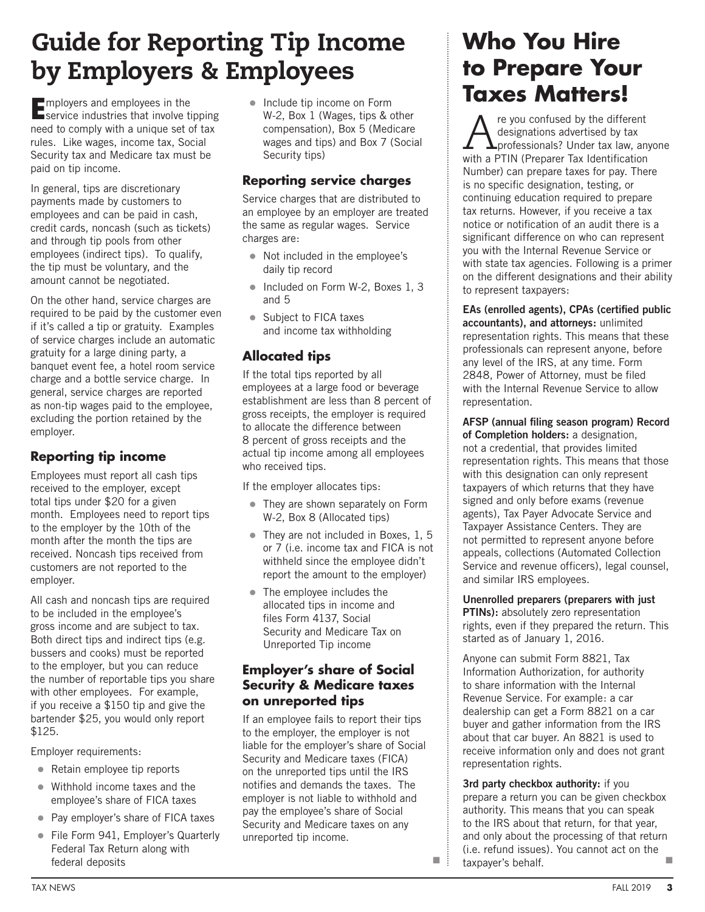### Guide for Reporting Tip Income by Employers & Employees

**EUR ENDINIST 2018**<br> **E**service industries that involve tipping need to comply with a unique set of tax rules. Like wages, income tax, Social Security tax and Medicare tax must be paid on tip income.

In general, tips are discretionary payments made by customers to employees and can be paid in cash, credit cards, noncash (such as tickets) and through tip pools from other employees (indirect tips). To qualify, the tip must be voluntary, and the amount cannot be negotiated.

On the other hand, service charges are required to be paid by the customer even if it's called a tip or gratuity. Examples of service charges include an automatic gratuity for a large dining party, a banquet event fee, a hotel room service charge and a bottle service charge. In general, service charges are reported as non-tip wages paid to the employee, excluding the portion retained by the employer.

### **Reporting tip income**

Employees must report all cash tips received to the employer, except total tips under \$20 for a given month. Employees need to report tips to the employer by the 10th of the month after the month the tips are received. Noncash tips received from customers are not reported to the employer.

All cash and noncash tips are required to be included in the employee's gross income and are subject to tax. Both direct tips and indirect tips (e.g. bussers and cooks) must be reported to the employer, but you can reduce the number of reportable tips you share with other employees. For example, if you receive a \$150 tip and give the bartender \$25, you would only report \$125.

Employer requirements:

- $\bullet$  Retain employee tip reports
- $\bullet$  Withhold income taxes and the employee's share of FICA taxes
- Pay employer's share of FICA taxes
- File Form 941, Employer's Quarterly Federal Tax Return along with federal deposits

 $\bullet$  Include tip income on Form W-2, Box 1 (Wages, tips & other compensation), Box 5 (Medicare wages and tips) and Box 7 (Social Security tips)

### **Reporting service charges**

Service charges that are distributed to an employee by an employer are treated the same as regular wages. Service charges are:

- Not included in the employee's daily tip record
- $\bullet$  Included on Form W-2, Boxes 1, 3 and 5
- Subject to FICA taxes and income tax withholding

### **Allocated tips**

If the total tips reported by all employees at a large food or beverage establishment are less than 8 percent of gross receipts, the employer is required to allocate the difference between 8 percent of gross receipts and the actual tip income among all employees who received tips.

If the employer allocates tips:

- They are shown separately on Form W-2, Box 8 (Allocated tips)
- They are not included in Boxes, 1, 5 or 7 (i.e. income tax and FICA is not withheld since the employee didn't report the amount to the employer)
- $\bullet$  The employee includes the allocated tips in income and files Form 4137, Social Security and Medicare Tax on Unreported Tip income

### **Employer's share of Social Security & Medicare taxes on unreported tips**

If an employee fails to report their tips to the employer, the employer is not liable for the employer's share of Social Security and Medicare taxes (FICA) on the unreported tips until the IRS notifies and demands the taxes. The employer is not liable to withhold and pay the employee's share of Social Security and Medicare taxes on any unreported tip income.

### **Who You Hire to Prepare Your Taxes Matters!**

A re you confused by the different<br>designations advertised by tax<br>with a PTIN (Preparer Tax Identification designations advertised by tax with a PTIN (Preparer Tax Identification Number) can prepare taxes for pay. There is no specific designation, testing, or continuing education required to prepare tax returns. However, if you receive a tax notice or notification of an audit there is a significant difference on who can represent you with the Internal Revenue Service or with state tax agencies. Following is a primer on the different designations and their ability to represent taxpayers:

**EAs (enrolled agents), CPAs (certified public accountants), and attorneys:** unlimited representation rights. This means that these professionals can represent anyone, before any level of the IRS, at any time. Form 2848, Power of Attorney, must be filed with the Internal Revenue Service to allow representation.

**AFSP (annual filing season program) Record of Completion holders:** a designation, not a credential, that provides limited representation rights. This means that those with this designation can only represent taxpayers of which returns that they have signed and only before exams (revenue agents), Tax Payer Advocate Service and Taxpayer Assistance Centers. They are not permitted to represent anyone before appeals, collections (Automated Collection Service and revenue officers), legal counsel, and similar IRS employees.

**Unenrolled preparers (preparers with just PTINs):** absolutely zero representation rights, even if they prepared the return. This started as of January 1, 2016.

Anyone can submit Form 8821, Tax Information Authorization, for authority to share information with the Internal Revenue Service. For example: a car dealership can get a Form 8821 on a car buyer and gather information from the IRS about that car buyer. An 8821 is used to receive information only and does not grant representation rights.

**3rd party checkbox authority:** if you prepare a return you can be given checkbox authority. This means that you can speak to the IRS about that return, for that year, and only about the processing of that return (i.e. refund issues). You cannot act on the  $\blacksquare$   $\vdots$  taxpayer's behalf.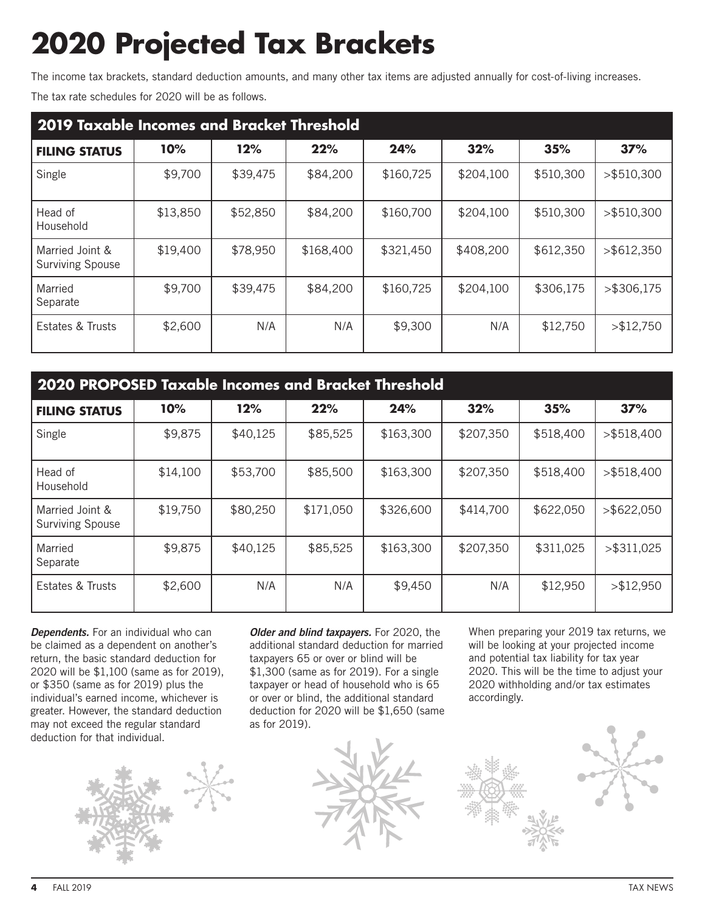# **2020 Projected Tax Brackets**

The income tax brackets, standard deduction amounts, and many other tax items are adjusted annually for cost-of-living increases.

The tax rate schedules for 2020 will be as follows.

| 2019 Taxable Incomes and Bracket Threshold |          |          |           |           |           |           |               |  |  |  |  |
|--------------------------------------------|----------|----------|-----------|-----------|-----------|-----------|---------------|--|--|--|--|
| <b>FILING STATUS</b>                       | 10%      | 12%      | 22%       | 24%       | 32%       | 35%       | 37%           |  |  |  |  |
| Single                                     | \$9,700  | \$39,475 | \$84,200  | \$160,725 | \$204,100 | \$510,300 | $>$ \$510,300 |  |  |  |  |
| Head of<br>Household                       | \$13,850 | \$52,850 | \$84,200  | \$160,700 | \$204,100 | \$510,300 | $>$ \$510,300 |  |  |  |  |
| Married Joint &<br><b>Surviving Spouse</b> | \$19,400 | \$78,950 | \$168,400 | \$321,450 | \$408,200 | \$612,350 | $>$ \$612,350 |  |  |  |  |
| Married<br>Separate                        | \$9,700  | \$39,475 | \$84,200  | \$160,725 | \$204,100 | \$306,175 | $>$ \$306,175 |  |  |  |  |
| Estates & Trusts                           | \$2,600  | N/A      | N/A       | \$9,300   | N/A       | \$12,750  | > \$12,750    |  |  |  |  |

| 2020 PROPOSED Taxable Incomes and Bracket Threshold |          |          |           |           |           |           |               |  |  |  |  |
|-----------------------------------------------------|----------|----------|-----------|-----------|-----------|-----------|---------------|--|--|--|--|
| <b>FILING STATUS</b>                                | 10%      | 12%      | 22%       | 24%       | 32%       | 35%       | 37%           |  |  |  |  |
| Single                                              | \$9,875  | \$40,125 | \$85,525  | \$163,300 | \$207,350 | \$518,400 | $>$ \$518,400 |  |  |  |  |
| Head of<br>Household                                | \$14,100 | \$53,700 | \$85,500  | \$163,300 | \$207,350 | \$518,400 | $>$ \$518,400 |  |  |  |  |
| Married Joint &<br><b>Surviving Spouse</b>          | \$19,750 | \$80,250 | \$171,050 | \$326,600 | \$414,700 | \$622,050 | $>$ \$622,050 |  |  |  |  |
| Married<br>Separate                                 | \$9,875  | \$40,125 | \$85,525  | \$163,300 | \$207,350 | \$311,025 | $>$ \$311,025 |  |  |  |  |
| Estates & Trusts                                    | \$2,600  | N/A      | N/A       | \$9,450   | N/A       | \$12,950  | > \$12,950    |  |  |  |  |

**Dependents.** For an individual who can be claimed as a dependent on another's return, the basic standard deduction for 2020 will be \$1,100 (same as for 2019), or \$350 (same as for 2019) plus the individual's earned income, whichever is greater. However, the standard deduction may not exceed the regular standard deduction for that individual.



*Older and blind taxpayers.* For 2020, the additional standard deduction for married taxpayers 65 or over or blind will be \$1,300 (same as for 2019). For a single taxpayer or head of household who is 65 or over or blind, the additional standard deduction for 2020 will be \$1,650 (same as for 2019).



When preparing your 2019 tax returns, we will be looking at your projected income and potential tax liability for tax year 2020. This will be the time to adjust your 2020 withholding and/or tax estimates accordingly.

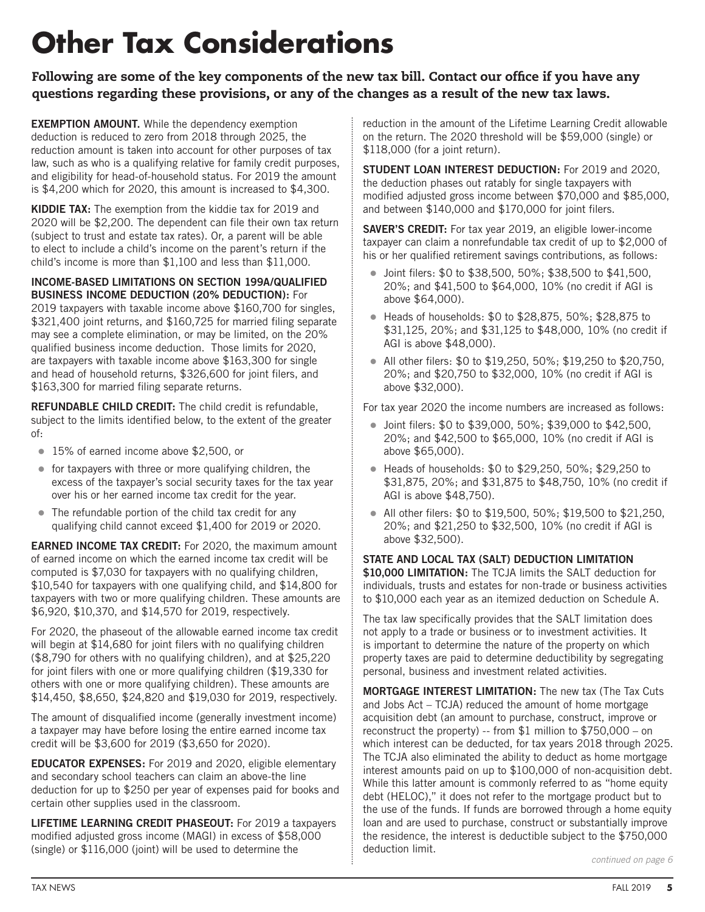# **Other Tax Considerations**

Following are some of the key components of the new tax bill. Contact our office if you have any questions regarding these provisions, or any of the changes as a result of the new tax laws.

**EXEMPTION AMOUNT.** While the dependency exemption deduction is reduced to zero from 2018 through 2025, the reduction amount is taken into account for other purposes of tax law, such as who is a qualifying relative for family credit purposes, and eligibility for head-of-household status. For 2019 the amount is \$4,200 which for 2020, this amount is increased to \$4,300.

KIDDIE TAX: The exemption from the kiddie tax for 2019 and 2020 will be \$2,200. The dependent can file their own tax return (subject to trust and estate tax rates). Or, a parent will be able to elect to include a child's income on the parent's return if the child's income is more than \$1,100 and less than \$11,000.

#### **Income-Based Limitations on Section 199A/Qualified Business Income Deduction (20% Deduction):** For

2019 taxpayers with taxable income above \$160,700 for singles, \$321,400 joint returns, and \$160,725 for married filing separate may see a complete elimination, or may be limited, on the 20% qualified business income deduction. Those limits for 2020, are taxpayers with taxable income above \$163,300 for single and head of household returns, \$326,600 for joint filers, and \$163,300 for married filing separate returns.

**REFUNDABLE CHILD CREDIT:** The child credit is refundable. subject to the limits identified below, to the extent of the greater of:

- **15% of earned income above \$2,500, or**
- $\bullet$  for taxpayers with three or more qualifying children, the excess of the taxpayer's social security taxes for the tax year over his or her earned income tax credit for the year.
- $\bullet$  The refundable portion of the child tax credit for any qualifying child cannot exceed \$1,400 for 2019 or 2020.

**EARNED INCOME TAX CREDIT:** For 2020, the maximum amount of earned income on which the earned income tax credit will be computed is \$7,030 for taxpayers with no qualifying children, \$10,540 for taxpayers with one qualifying child, and \$14,800 for taxpayers with two or more qualifying children. These amounts are \$6,920, \$10,370, and \$14,570 for 2019, respectively.

For 2020, the phaseout of the allowable earned income tax credit will begin at \$14,680 for joint filers with no qualifying children (\$8,790 for others with no qualifying children), and at \$25,220 for joint filers with one or more qualifying children (\$19,330 for others with one or more qualifying children). These amounts are \$14,450, \$8,650, \$24,820 and \$19,030 for 2019, respectively.

The amount of disqualified income (generally investment income) a taxpayer may have before losing the entire earned income tax credit will be \$3,600 for 2019 (\$3,650 for 2020).

**Educator expenses:** For 2019 and 2020, eligible elementary and secondary school teachers can claim an above-the line deduction for up to \$250 per year of expenses paid for books and certain other supplies used in the classroom.

**Lifetime learning credit phaseout:** For 2019 a taxpayers modified adjusted gross income (MAGI) in excess of \$58,000 (single) or \$116,000 (joint) will be used to determine the

reduction in the amount of the Lifetime Learning Credit allowable on the return. The 2020 threshold will be \$59,000 (single) or \$118,000 (for a joint return).

**Student loan interest deduction:** For 2019 and 2020, the deduction phases out ratably for single taxpayers with modified adjusted gross income between \$70,000 and \$85,000, and between \$140,000 and \$170,000 for joint filers.

**SAVER'S CREDIT:** For tax year 2019, an eligible lower-income taxpayer can claim a nonrefundable tax credit of up to \$2,000 of his or her qualified retirement savings contributions, as follows:

- $\bullet$  Joint filers: \$0 to \$38,500, 50%; \$38,500 to \$41,500, 20%; and \$41,500 to \$64,000, 10% (no credit if AGI is above \$64,000).
- Heads of households: \$0 to \$28,875, 50%; \$28,875 to \$31,125, 20%; and \$31,125 to \$48,000, 10% (no credit if AGI is above \$48,000).
- All other filers:  $$0$  to  $$19,250, 50\%$ ;  $$19,250$  to  $$20,750$ , 20%; and \$20,750 to \$32,000, 10% (no credit if AGI is above \$32,000).

For tax year 2020 the income numbers are increased as follows:

- Joint filers: \$0 to \$39,000, 50%; \$39,000 to \$42,500, 20%; and \$42,500 to \$65,000, 10% (no credit if AGI is above \$65,000).
- Heads of households: \$0 to \$29,250, 50%; \$29,250 to \$31,875, 20%; and \$31,875 to \$48,750, 10% (no credit if AGI is above \$48,750).
- $\bullet$  All other filers: \$0 to \$19,500, 50%; \$19,500 to \$21,250, 20%; and \$21,250 to \$32,500, 10% (no credit if AGI is above \$32,500).

**State and local tax (SALT) deduction limitation \$10,000 limitation:** The TCJA limits the SALT deduction for individuals, trusts and estates for non-trade or business activities to \$10,000 each year as an itemized deduction on Schedule A.

The tax law specifically provides that the SALT limitation does not apply to a trade or business or to investment activities. It is important to determine the nature of the property on which property taxes are paid to determine deductibility by segregating personal, business and investment related activities.

**Mortgage interest limitation:** The new tax (The Tax Cuts and Jobs Act – TCJA) reduced the amount of home mortgage acquisition debt (an amount to purchase, construct, improve or reconstruct the property) -- from \$1 million to \$750,000 – on which interest can be deducted, for tax years 2018 through 2025. The TCJA also eliminated the ability to deduct as home mortgage interest amounts paid on up to \$100,000 of non-acquisition debt. While this latter amount is commonly referred to as "home equity debt (HELOC)," it does not refer to the mortgage product but to the use of the funds. If funds are borrowed through a home equity loan and are used to purchase, construct or substantially improve the residence, the interest is deductible subject to the \$750,000 deduction limit.

*continued on page 6*